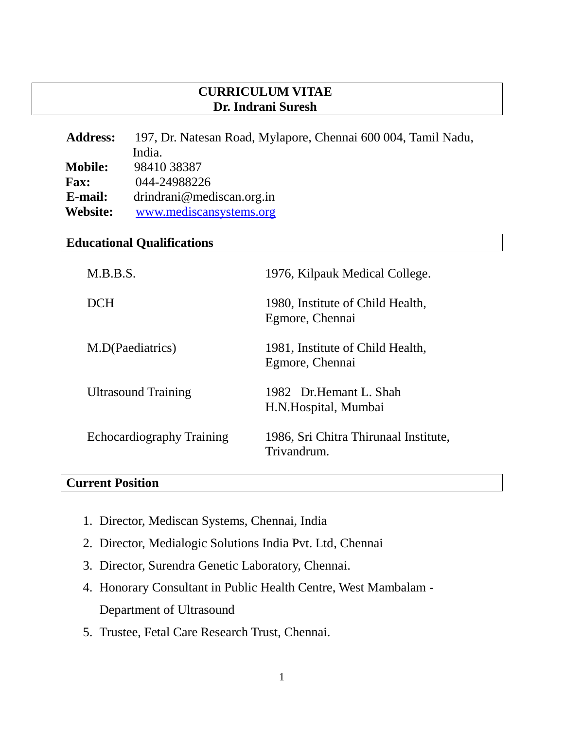### **CURRICULUM VITAE Dr. Indrani Suresh**

| <b>Address:</b> | 197, Dr. Natesan Road, Mylapore, Chennai 600 004, Tamil Nadu, |  |
|-----------------|---------------------------------------------------------------|--|
|                 | India.                                                        |  |
| <b>Mobile:</b>  | 98410 38387                                                   |  |
| <b>Fax:</b>     | 044-24988226                                                  |  |
| E-mail:         | drindrani@mediscan.org.in                                     |  |
| <b>Website:</b> | www.mediscansystems.org                                       |  |

# **Educational Qualifications**

| M.B.B.S.                         | 1976, Kilpauk Medical College.                       |
|----------------------------------|------------------------------------------------------|
| DCH                              | 1980, Institute of Child Health,<br>Egmore, Chennai  |
| M.D(Paediatrics)                 | 1981, Institute of Child Health,<br>Egmore, Chennai  |
| <b>Ultrasound Training</b>       | 1982 Dr. Hemant L. Shah<br>H.N.Hospital, Mumbai      |
| <b>Echocardiography Training</b> | 1986, Sri Chitra Thirunaal Institute,<br>Trivandrum. |

### **Current Position**

- 1. Director, Mediscan Systems, Chennai, India
- 2. Director, Medialogic Solutions India Pvt. Ltd, Chennai
- 3. Director, Surendra Genetic Laboratory, Chennai.
- 4. Honorary Consultant in Public Health Centre, West Mambalam Department of Ultrasound
- 5. Trustee, Fetal Care Research Trust, Chennai.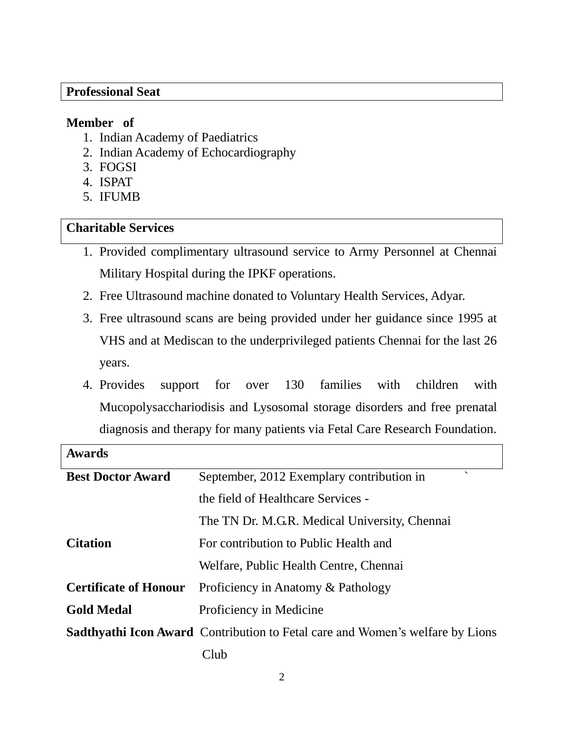#### **Professional Seat**

#### **Member of**

- 1. Indian Academy of Paediatrics
- 2. Indian Academy of Echocardiography
- 3. FOGSI
- 4. ISPAT
- 5. IFUMB

#### **Charitable Services**

- 1. Provided complimentary ultrasound service to Army Personnel at Chennai Military Hospital during the IPKF operations.
- 2. Free Ultrasound machine donated to Voluntary Health Services, Adyar.
- 3. Free ultrasound scans are being provided under her guidance since 1995 at VHS and at Mediscan to the underprivileged patients Chennai for the last 26 years.
- 4. Provides support for over 130 families with children with Mucopolysacchariodisis and Lysosomal storage disorders and free prenatal diagnosis and therapy for many patients via Fetal Care Research Foundation.

| <b>Awards</b>                |                                                                                      |
|------------------------------|--------------------------------------------------------------------------------------|
| <b>Best Doctor Award</b>     | $\overline{\phantom{0}}$<br>September, 2012 Exemplary contribution in                |
|                              | the field of Healthcare Services -                                                   |
|                              | The TN Dr. M.G.R. Medical University, Chennai                                        |
| <b>Citation</b>              | For contribution to Public Health and                                                |
|                              | Welfare, Public Health Centre, Chennai                                               |
| <b>Certificate of Honour</b> | Proficiency in Anatomy & Pathology                                                   |
| <b>Gold Medal</b>            | Proficiency in Medicine                                                              |
|                              | <b>Sadthyathi Icon Award</b> Contribution to Fetal care and Women's welfare by Lions |
|                              | Club                                                                                 |